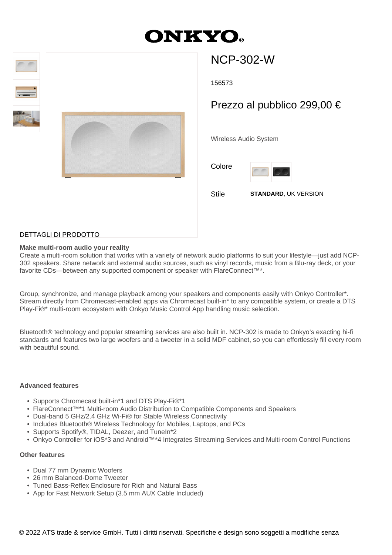# **ONKYO**



# NCP-302-W

156573

## Prezzo al pubblico 299,00 €

Wireless Audio System

Colore



Stile **STANDARD**, UK VERSION

### DETTAGLI DI PRODOTTO

#### **Make multi-room audio your reality**

Create a multi-room solution that works with a variety of network audio platforms to suit your lifestyle—just add NCP-302 speakers. Share network and external audio sources, such as vinyl records, music from a Blu-ray deck, or your favorite CDs—between any supported component or speaker with FlareConnect™\*.

Group, synchronize, and manage playback among your speakers and components easily with Onkyo Controller\*. Stream directly from Chromecast-enabled apps via Chromecast built-in\* to any compatible system, or create a DTS Play-Fi®\* multi-room ecosystem with Onkyo Music Control App handling music selection.

Bluetooth® technology and popular streaming services are also built in. NCP-302 is made to Onkyo's exacting hi-fi standards and features two large woofers and a tweeter in a solid MDF cabinet, so you can effortlessly fill every room with beautiful sound.

#### **Advanced features**

- Supports Chromecast built-in\*1 and DTS Play-Fi®\*1
- FlareConnect™\*1 Multi-room Audio Distribution to Compatible Components and Speakers
- Dual-band 5 GHz/2.4 GHz Wi-Fi® for Stable Wireless Connectivity
- Includes Bluetooth® Wireless Technology for Mobiles, Laptops, and PCs
- Supports Spotify®, TIDAL, Deezer, and TuneIn\*2
- Onkyo Controller for iOS\*3 and Android™\*4 Integrates Streaming Services and Multi-room Control Functions

#### **Other features**

- Dual 77 mm Dynamic Woofers
- 26 mm Balanced-Dome Tweeter
- Tuned Bass-Reflex Enclosure for Rich and Natural Bass
- App for Fast Network Setup (3.5 mm AUX Cable Included)